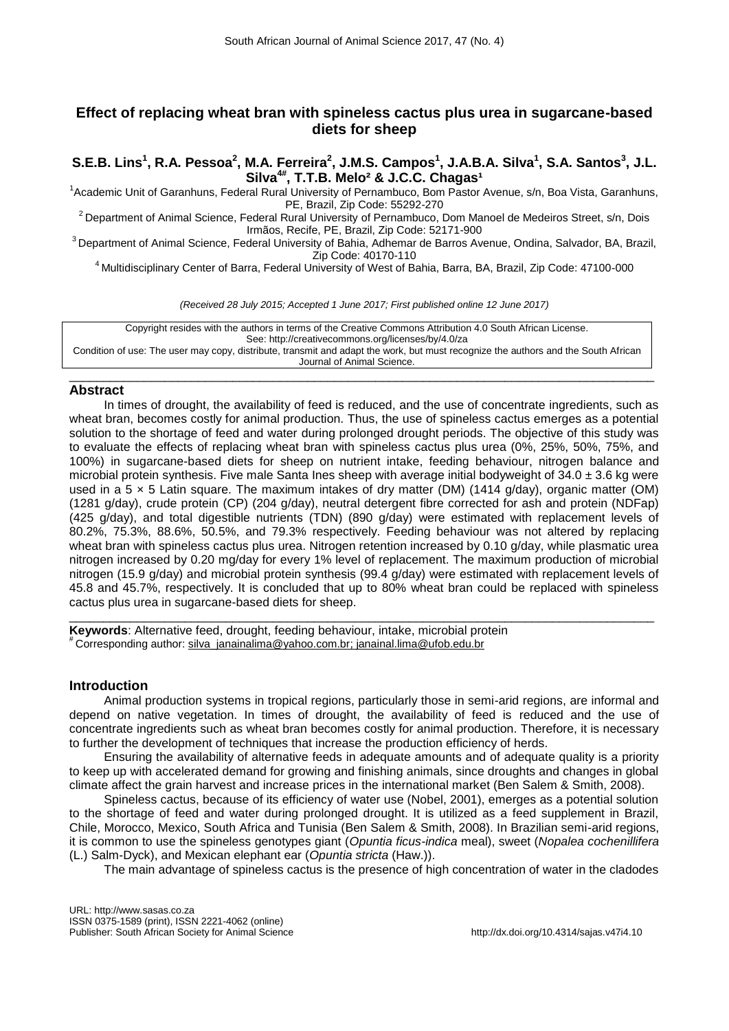# **Effect of replacing wheat bran with spineless cactus plus urea in sugarcane-based diets for sheep**

**S.E.B. Lins<sup>1</sup> , R.A. Pessoa<sup>2</sup> , M.A. Ferreira<sup>2</sup> , J.M.S. Campos<sup>1</sup> , J.A.B.A. Silva<sup>1</sup> , S.A. Santos<sup>3</sup> , J.L.**  Silva<sup>4#</sup>, T.T.B. Melo<sup>2</sup> & J.C.C. Chagas<sup>1</sup>

1 Academic Unit of Garanhuns, Federal Rural University of Pernambuco, Bom Pastor Avenue, s/n, Boa Vista, Garanhuns, PE, Brazil, Zip Code: 55292-270

<sup>2</sup> Department of Animal Science, Federal Rural University of Pernambuco, Dom Manoel de Medeiros Street, s/n, Dois Irmãos, Recife, PE, Brazil, Zip Code: 52171-900

<sup>3</sup> Department of Animal Science, Federal University of Bahia, Adhemar de Barros Avenue, Ondina, Salvador, BA, Brazil, Zip Code: 40170-110

<sup>4</sup> Multidisciplinary Center of Barra, Federal University of West of Bahia, Barra, BA, Brazil, Zip Code: 47100-000

*(Received 28 July 2015; Accepted 1 June 2017; First published online 12 June 2017)*

Copyright resides with the authors in terms of the Creative Commons Attribution 4.0 South African License. See: http://creativecommons.org/licenses/by/4.0/za Condition of use: The user may copy, distribute, transmit and adapt the work, but must recognize the authors and the South African Journal of Animal Science.

\_\_\_\_\_\_\_\_\_\_\_\_\_\_\_\_\_\_\_\_\_\_\_\_\_\_\_\_\_\_\_\_\_\_\_\_\_\_\_\_\_\_\_\_\_\_\_\_\_\_\_\_\_\_\_\_\_\_\_\_\_\_\_\_\_\_\_\_\_\_\_\_\_\_\_\_\_\_\_\_\_\_\_\_\_\_

# **Abstract**

In times of drought, the availability of feed is reduced, and the use of concentrate ingredients, such as wheat bran, becomes costly for animal production. Thus, the use of spineless cactus emerges as a potential solution to the shortage of feed and water during prolonged drought periods. The objective of this study was to evaluate the effects of replacing wheat bran with spineless cactus plus urea (0%, 25%, 50%, 75%, and 100%) in sugarcane-based diets for sheep on nutrient intake, feeding behaviour, nitrogen balance and microbial protein synthesis. Five male Santa Ines sheep with average initial bodyweight of  $34.0 \pm 3.6$  kg were used in a 5 × 5 Latin square. The maximum intakes of dry matter (DM) (1414 g/day), organic matter (OM) (1281 g/day), crude protein (CP) (204 g/day), neutral detergent fibre corrected for ash and protein (NDFap) (425 g/day), and total digestible nutrients (TDN) (890 g/day) were estimated with replacement levels of 80.2%, 75.3%, 88.6%, 50.5%, and 79.3% respectively. Feeding behaviour was not altered by replacing wheat bran with spineless cactus plus urea. Nitrogen retention increased by 0.10 g/day, while plasmatic urea nitrogen increased by 0.20 mg/day for every 1% level of replacement. The maximum production of microbial nitrogen (15.9 g/day) and microbial protein synthesis (99.4 g/day) were estimated with replacement levels of 45.8 and 45.7%, respectively. It is concluded that up to 80% wheat bran could be replaced with spineless cactus plus urea in sugarcane-based diets for sheep.

**Keywords**: Alternative feed, drought, feeding behaviour, intake, microbial protein # Corresponding author: [silva\\_janainalima@yahoo.com.br;](mailto:silva_janainalima@yahoo.com.br) janainal.lima@ufob.edu.br

# **Introduction**

Animal production systems in tropical regions, particularly those in semi-arid regions, are informal and depend on native vegetation. In times of drought, the availability of feed is reduced and the use of concentrate ingredients such as wheat bran becomes costly for animal production. Therefore, it is necessary to further the development of techniques that increase the production efficiency of herds.

\_\_\_\_\_\_\_\_\_\_\_\_\_\_\_\_\_\_\_\_\_\_\_\_\_\_\_\_\_\_\_\_\_\_\_\_\_\_\_\_\_\_\_\_\_\_\_\_\_\_\_\_\_\_\_\_\_\_\_\_\_\_\_\_\_\_\_\_\_\_\_\_\_\_\_\_\_\_\_\_\_\_\_\_\_\_

Ensuring the availability of alternative feeds in adequate amounts and of adequate quality is a priority to keep up with accelerated demand for growing and finishing animals, since droughts and changes in global climate affect the grain harvest and increase prices in the international market (Ben Salem & Smith, 2008).

Spineless cactus, because of its efficiency of water use (Nobel, 2001), emerges as a potential solution to the shortage of feed and water during prolonged drought. It is utilized as a feed supplement in Brazil, Chile, Morocco, Mexico, South Africa and Tunisia (Ben Salem & Smith, 2008). In Brazilian semi-arid regions, it is common to use the spineless genotypes giant (*Opuntia ficus-indica* meal), sweet (*Nopalea cochenillifera* (L.) Salm-Dyck), and Mexican elephant ear (*Opuntia stricta* (Haw.)).

The main advantage of spineless cactus is the presence of high concentration of water in the cladodes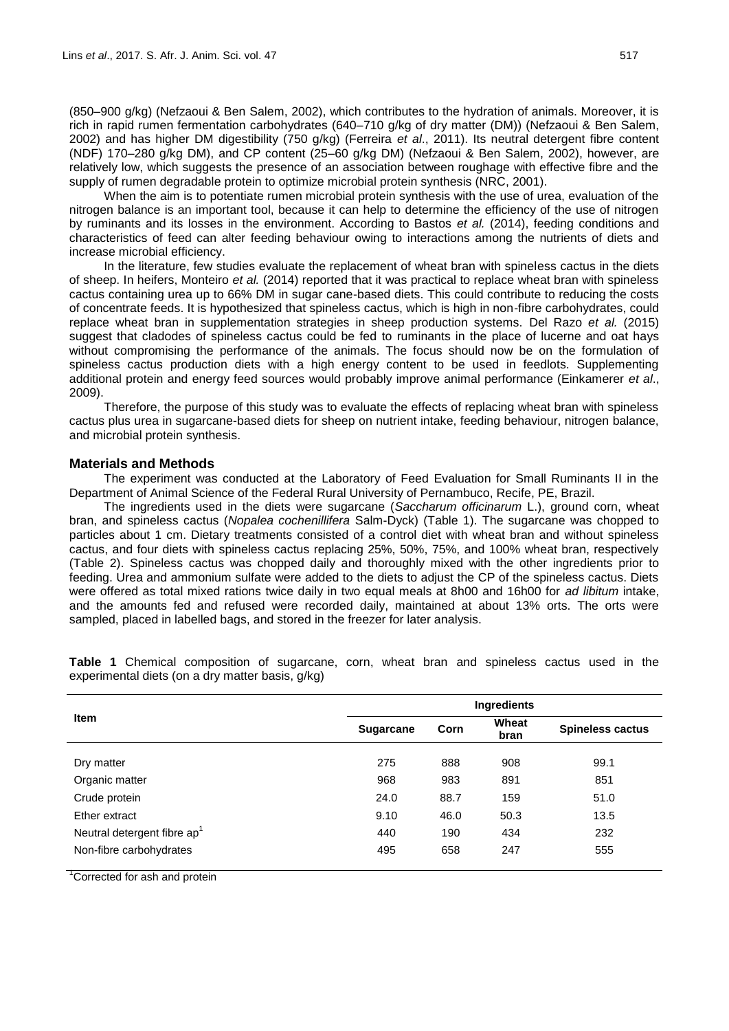(850–900 g/kg) (Nefzaoui & Ben Salem, 2002), which contributes to the hydration of animals. Moreover, it is rich in rapid rumen fermentation carbohydrates (640–710 g/kg of dry matter (DM)) (Nefzaoui & Ben Salem, 2002) and has higher DM digestibility (750 g/kg) (Ferreira *et al*., 2011). Its neutral detergent fibre content (NDF) 170–280 g/kg DM), and CP content (25–60 g/kg DM) (Nefzaoui & Ben Salem, 2002), however, are relatively low, which suggests the presence of an association between roughage with effective fibre and the supply of rumen degradable protein to optimize microbial protein synthesis (NRC, 2001).

When the aim is to potentiate rumen microbial protein synthesis with the use of urea, evaluation of the nitrogen balance is an important tool, because it can help to determine the efficiency of the use of nitrogen by ruminants and its losses in the environment. According to Bastos *et al.* (2014), feeding conditions and characteristics of feed can alter feeding behaviour owing to interactions among the nutrients of diets and increase microbial efficiency.

In the literature, few studies evaluate the replacement of wheat bran with spineless cactus in the diets of sheep. In heifers, Monteiro *et al.* (2014) reported that it was practical to replace wheat bran with spineless cactus containing urea up to 66% DM in sugar cane-based diets. This could contribute to reducing the costs of concentrate feeds. It is hypothesized that spineless cactus, which is high in non-fibre carbohydrates, could replace wheat bran in supplementation strategies in sheep production systems. Del Razo *et al.* (2015) suggest that cladodes of spineless cactus could be fed to ruminants in the place of lucerne and oat hays without compromising the performance of the animals. The focus should now be on the formulation of spineless cactus production diets with a high energy content to be used in feedlots. Supplementing additional protein and energy feed sources would probably improve animal performance (Einkamerer *et al*., 2009).

Therefore, the purpose of this study was to evaluate the effects of replacing wheat bran with spineless cactus plus urea in sugarcane-based diets for sheep on nutrient intake, feeding behaviour, nitrogen balance, and microbial protein synthesis.

#### **Materials and Methods**

The experiment was conducted at the Laboratory of Feed Evaluation for Small Ruminants II in the Department of Animal Science of the Federal Rural University of Pernambuco, Recife, PE, Brazil.

The ingredients used in the diets were sugarcane (*Saccharum officinarum* L.), ground corn, wheat bran, and spineless cactus (*Nopalea cochenillifera* Salm-Dyck) (Table 1). The sugarcane was chopped to particles about 1 cm. Dietary treatments consisted of a control diet with wheat bran and without spineless cactus, and four diets with spineless cactus replacing 25%, 50%, 75%, and 100% wheat bran, respectively (Table 2). Spineless cactus was chopped daily and thoroughly mixed with the other ingredients prior to feeding. Urea and ammonium sulfate were added to the diets to adjust the CP of the spineless cactus. Diets were offered as total mixed rations twice daily in two equal meals at 8h00 and 16h00 for *ad libitum* intake, and the amounts fed and refused were recorded daily, maintained at about 13% orts. The orts were sampled, placed in labelled bags, and stored in the freezer for later analysis.

|                                         | Ingredients      |                       |      |                         |  |  |  |  |
|-----------------------------------------|------------------|-----------------------|------|-------------------------|--|--|--|--|
| <b>Item</b>                             | <b>Sugarcane</b> | Wheat<br>Corn<br>bran |      | <b>Spineless cactus</b> |  |  |  |  |
| Dry matter                              | 275              | 888                   | 908  | 99.1                    |  |  |  |  |
| Organic matter                          | 968              | 983                   | 891  | 851                     |  |  |  |  |
| Crude protein                           | 24.0             | 88.7                  | 159  | 51.0                    |  |  |  |  |
| Ether extract                           | 9.10             | 46.0                  | 50.3 | 13.5                    |  |  |  |  |
| Neutral detergent fibre ap <sup>1</sup> | 440              | 190                   | 434  | 232                     |  |  |  |  |
| Non-fibre carbohydrates                 | 495              | 658                   | 247  | 555                     |  |  |  |  |
| $\overline{1}$<br>$\sim$ $\sim$<br>.    |                  |                       |      |                         |  |  |  |  |

**Table 1** Chemical composition of sugarcane, corn, wheat bran and spineless cactus used in the experimental diets (on a dry matter basis, g/kg)

<sup>1</sup>Corrected for ash and protein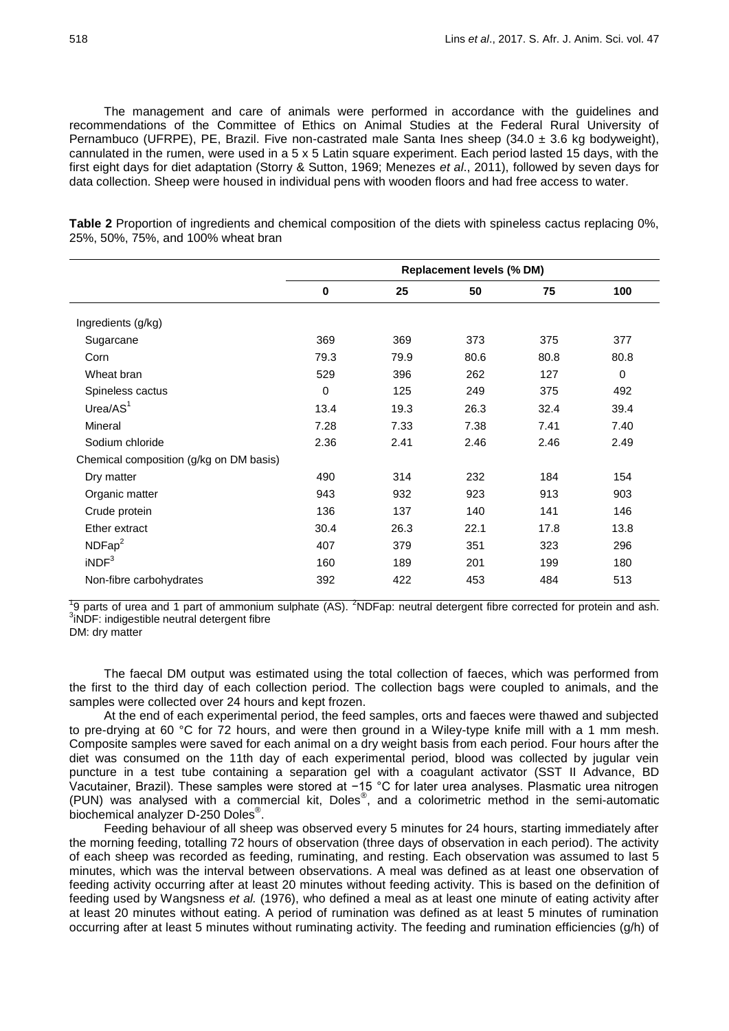The management and care of animals were performed in accordance with the guidelines and recommendations of the Committee of Ethics on Animal Studies at the Federal Rural University of Pernambuco (UFRPE), PE, Brazil. Five non-castrated male Santa Ines sheep  $(34.0 \pm 3.6 \text{ kg}$  bodyweight), cannulated in the rumen, were used in a 5 x 5 Latin square experiment. Each period lasted 15 days, with the first eight days for diet adaptation (Storry & Sutton, 1969; Menezes *et al*., 2011), followed by seven days for data collection. Sheep were housed in individual pens with wooden floors and had free access to water.

|                                         | <b>Replacement levels (% DM)</b> |      |      |      |             |  |  |
|-----------------------------------------|----------------------------------|------|------|------|-------------|--|--|
|                                         | $\mathbf 0$                      | 25   | 50   | 75   | 100         |  |  |
| Ingredients (g/kg)                      |                                  |      |      |      |             |  |  |
| Sugarcane                               | 369                              | 369  | 373  | 375  | 377         |  |  |
| Corn                                    | 79.3                             | 79.9 | 80.6 | 80.8 | 80.8        |  |  |
| Wheat bran                              | 529                              | 396  | 262  | 127  | $\mathbf 0$ |  |  |
| Spineless cactus                        | $\mathbf 0$                      | 125  | 249  | 375  | 492         |  |  |
| Urea/AS <sup>1</sup>                    | 13.4                             | 19.3 | 26.3 | 32.4 | 39.4        |  |  |
| Mineral                                 | 7.28                             | 7.33 | 7.38 | 7.41 | 7.40        |  |  |
| Sodium chloride                         | 2.36                             | 2.41 | 2.46 | 2.46 | 2.49        |  |  |
| Chemical composition (g/kg on DM basis) |                                  |      |      |      |             |  |  |
| Dry matter                              | 490                              | 314  | 232  | 184  | 154         |  |  |
| Organic matter                          | 943                              | 932  | 923  | 913  | 903         |  |  |
| Crude protein                           | 136                              | 137  | 140  | 141  | 146         |  |  |
| Ether extract                           | 30.4                             | 26.3 | 22.1 | 17.8 | 13.8        |  |  |
| NDFap <sup>2</sup>                      | 407                              | 379  | 351  | 323  | 296         |  |  |
| iNDF <sup>3</sup>                       | 160                              | 189  | 201  | 199  | 180         |  |  |
| Non-fibre carbohydrates                 | 392                              | 422  | 453  | 484  | 513         |  |  |

**Table 2** Proportion of ingredients and chemical composition of the diets with spineless cactus replacing 0%, 25%, 50%, 75%, and 100% wheat bran

 $19$  parts of urea and 1 part of ammonium sulphate (AS). <sup>2</sup>NDFap: neutral detergent fibre corrected for protein and ash.  $3$ iNDF: indigestible neutral detergent fibre

DM: dry matter

The faecal DM output was estimated using the total collection of faeces, which was performed from the first to the third day of each collection period. The collection bags were coupled to animals, and the samples were collected over 24 hours and kept frozen.

At the end of each experimental period, the feed samples, orts and faeces were thawed and subjected to pre-drying at 60 °C for 72 hours, and were then ground in a Wiley-type knife mill with a 1 mm mesh. Composite samples were saved for each animal on a dry weight basis from each period. Four hours after the diet was consumed on the 11th day of each experimental period, blood was collected by jugular vein puncture in a test tube containing a separation gel with a coagulant activator (SST II Advance, BD Vacutainer, Brazil). These samples were stored at −15 °C for later urea analyses. Plasmatic urea nitrogen (PUN) was analysed with a commercial kit, Doles® , and a colorimetric method in the semi-automatic biochemical analyzer D-250 Doles® .

Feeding behaviour of all sheep was observed every 5 minutes for 24 hours, starting immediately after the morning feeding, totalling 72 hours of observation (three days of observation in each period). The activity of each sheep was recorded as feeding, ruminating, and resting. Each observation was assumed to last 5 minutes, which was the interval between observations. A meal was defined as at least one observation of feeding activity occurring after at least 20 minutes without feeding activity. This is based on the definition of feeding used by Wangsness *et al.* (1976), who defined a meal as at least one minute of eating activity after at least 20 minutes without eating. A period of rumination was defined as at least 5 minutes of rumination occurring after at least 5 minutes without ruminating activity. The feeding and rumination efficiencies (g/h) of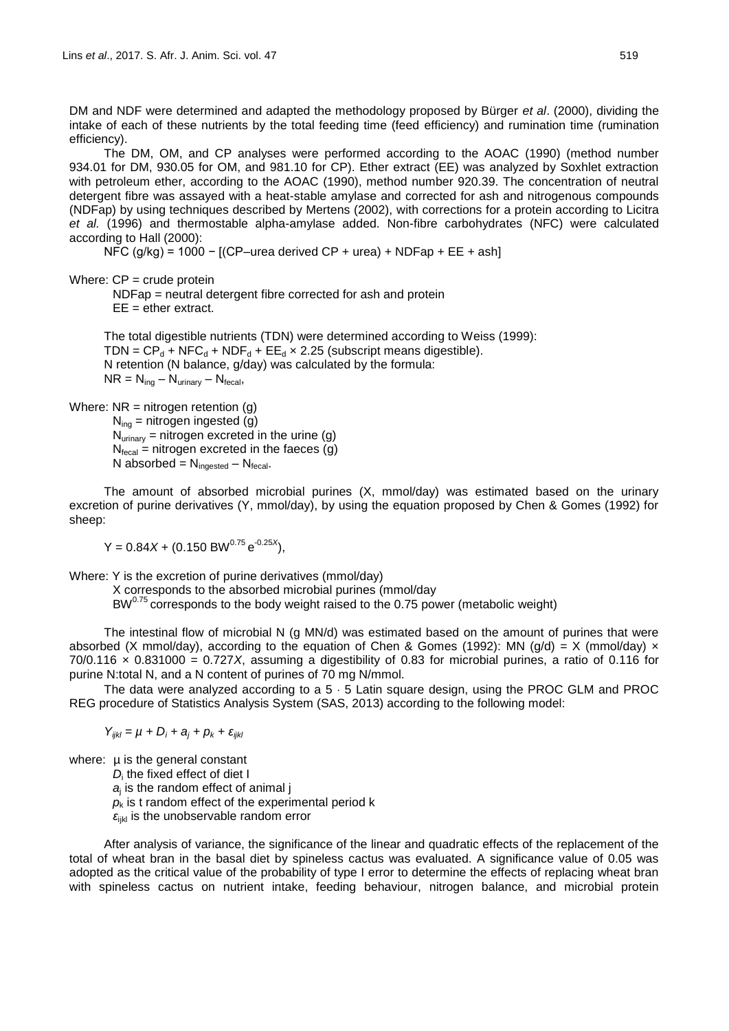DM and NDF were determined and adapted the methodology proposed by Bürger *et al*. (2000), dividing the intake of each of these nutrients by the total feeding time (feed efficiency) and rumination time (rumination efficiency).

The DM, OM, and CP analyses were performed according to the AOAC (1990) (method number 934.01 for DM, 930.05 for OM, and 981.10 for CP). Ether extract (EE) was analyzed by Soxhlet extraction with petroleum ether, according to the AOAC (1990), method number 920.39. The concentration of neutral detergent fibre was assayed with a heat-stable amylase and corrected for ash and nitrogenous compounds (NDFap) by using techniques described by Mertens (2002), with corrections for a protein according to Licitra *et al.* (1996) and thermostable alpha-amylase added. Non-fibre carbohydrates (NFC) were calculated according to Hall (2000):

NFC (g/kg) = 1000 -  $[(CP-$ urea derived CP + urea) + NDFap + EE + ash

Where:  $CP = \text{crude protein}$ 

NDFap = neutral detergent fibre corrected for ash and protein  $EE =$ ether extract.

The total digestible nutrients (TDN) were determined according to Weiss (1999): TDN =  $CP_d$  + NFC<sub>d</sub> + NDF<sub>d</sub> + EE<sub>d</sub> × 2.25 (subscript means digestible). N retention (N balance, g/day) was calculated by the formula:  $NR = N_{\text{inq}} - N_{\text{urinary}} - N_{\text{fecal}}$ 

Where:  $NR = nitrogen$  retention (g)

 $N_{\text{inq}}$  = nitrogen ingested (g)  $N_{\text{urinary}}$  = nitrogen excreted in the urine (g)  $N_{\text{fecal}}$  = nitrogen excreted in the faeces (g) N absorbed =  $N_{\text{ingested}} - N_{\text{fecal}}$ .

The amount of absorbed microbial purines (X, mmol/day) was estimated based on the urinary excretion of purine derivatives (Y, mmol/day), by using the equation proposed by Chen & Gomes (1992) for sheep:

 $Y = 0.84X + (0.150 \text{ BW}^{0.75} \text{e}^{-0.25X}),$ 

Where: Y is the excretion of purine derivatives (mmol/day)

X corresponds to the absorbed microbial purines (mmol/day

 $BW^{0.75}$  corresponds to the body weight raised to the 0.75 power (metabolic weight)

The intestinal flow of microbial N (g MN/d) was estimated based on the amount of purines that were absorbed (X mmol/day), according to the equation of Chen & Gomes (1992): MN (g/d) = X (mmol/day)  $\times$ 70/0.116 × 0.831000 = 0.727*X*, assuming a digestibility of 0.83 for microbial purines, a ratio of 0.116 for purine N:total N, and a N content of purines of 70 mg N/mmol.

The data were analyzed according to a  $5 \cdot 5$  Latin square design, using the PROC GLM and PROC REG procedure of Statistics Analysis System (SAS, 2013) according to the following model:

 $Y_{ijkl} = \mu + D_i + a_j + p_k + \varepsilon_{ijkl}$ 

where: u is the general constant

*D*i the fixed effect of diet I

*a*j is the random effect of animal j

 $p_k$  is t random effect of the experimental period k

*ɛ*ijkl is the unobservable random error

After analysis of variance, the significance of the linear and quadratic effects of the replacement of the total of wheat bran in the basal diet by spineless cactus was evaluated. A significance value of 0.05 was adopted as the critical value of the probability of type I error to determine the effects of replacing wheat bran with spineless cactus on nutrient intake, feeding behaviour, nitrogen balance, and microbial protein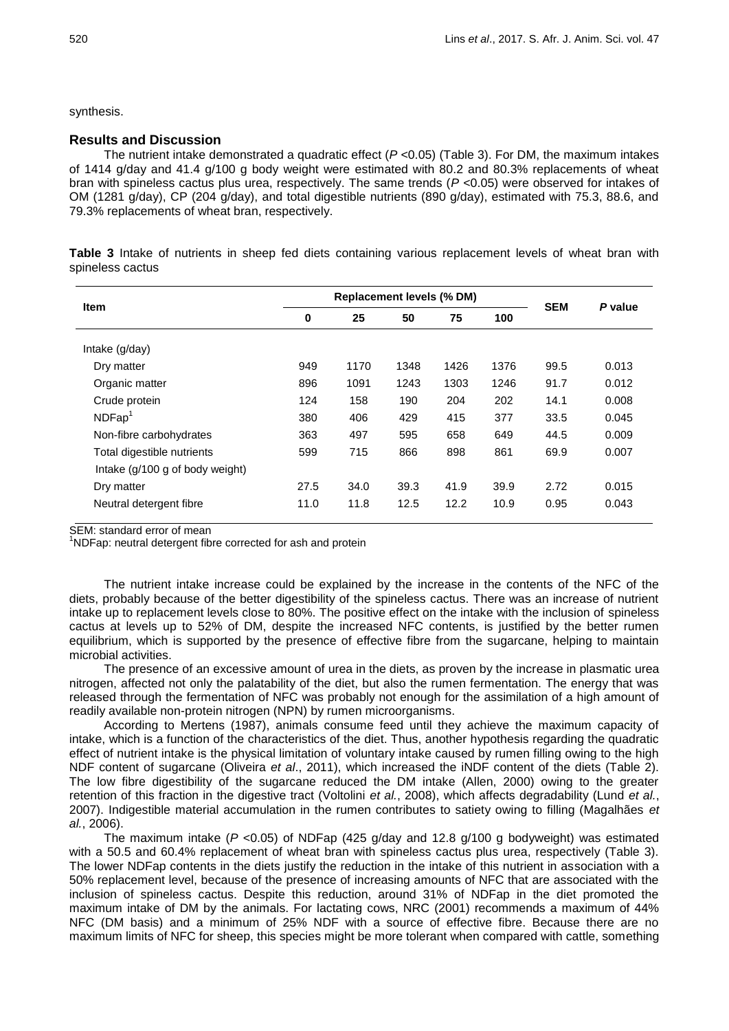synthesis.

## **Results and Discussion**

The nutrient intake demonstrated a quadratic effect (*P* <0.05) (Table 3). For DM, the maximum intakes of 1414 g/day and 41.4 g/100 g body weight were estimated with 80.2 and 80.3% replacements of wheat bran with spineless cactus plus urea, respectively. The same trends (*P* <0.05) were observed for intakes of OM (1281 g/day), CP (204 g/day), and total digestible nutrients (890 g/day), estimated with 75.3, 88.6, and 79.3% replacements of wheat bran, respectively.

**Table 3** Intake of nutrients in sheep fed diets containing various replacement levels of wheat bran with spineless cactus

| <b>Item</b>                     |      | <b>Replacement levels (% DM)</b> |      |      |      |            |         |
|---------------------------------|------|----------------------------------|------|------|------|------------|---------|
|                                 | 0    | 25                               | 50   | 75   | 100  | <b>SEM</b> | P value |
| Intake $(g/day)$                |      |                                  |      |      |      |            |         |
| Dry matter                      | 949  | 1170                             | 1348 | 1426 | 1376 | 99.5       | 0.013   |
| Organic matter                  | 896  | 1091                             | 1243 | 1303 | 1246 | 91.7       | 0.012   |
| Crude protein                   | 124  | 158                              | 190  | 204  | 202  | 14.1       | 0.008   |
| NDFap                           | 380  | 406                              | 429  | 415  | 377  | 33.5       | 0.045   |
| Non-fibre carbohydrates         | 363  | 497                              | 595  | 658  | 649  | 44.5       | 0.009   |
| Total digestible nutrients      | 599  | 715                              | 866  | 898  | 861  | 69.9       | 0.007   |
| Intake (g/100 g of body weight) |      |                                  |      |      |      |            |         |
| Dry matter                      | 27.5 | 34.0                             | 39.3 | 41.9 | 39.9 | 2.72       | 0.015   |
| Neutral detergent fibre         | 11.0 | 11.8                             | 12.5 | 12.2 | 10.9 | 0.95       | 0.043   |

SEM: standard error of mean

<sup>1</sup>NDFap: neutral detergent fibre corrected for ash and protein

The nutrient intake increase could be explained by the increase in the contents of the NFC of the diets, probably because of the better digestibility of the spineless cactus. There was an increase of nutrient intake up to replacement levels close to 80%. The positive effect on the intake with the inclusion of spineless cactus at levels up to 52% of DM, despite the increased NFC contents, is justified by the better rumen equilibrium, which is supported by the presence of effective fibre from the sugarcane, helping to maintain microbial activities.

The presence of an excessive amount of urea in the diets, as proven by the increase in plasmatic urea nitrogen, affected not only the palatability of the diet, but also the rumen fermentation. The energy that was released through the fermentation of NFC was probably not enough for the assimilation of a high amount of readily available non-protein nitrogen (NPN) by rumen microorganisms.

According to Mertens (1987), animals consume feed until they achieve the maximum capacity of intake, which is a function of the characteristics of the diet. Thus, another hypothesis regarding the quadratic effect of nutrient intake is the physical limitation of voluntary intake caused by rumen filling owing to the high NDF content of sugarcane (Oliveira *et al*., 2011), which increased the iNDF content of the diets (Table 2). The low fibre digestibility of the sugarcane reduced the DM intake (Allen, 2000) owing to the greater retention of this fraction in the digestive tract (Voltolini *et al.*, 2008), which affects degradability (Lund *et al.*, 2007). Indigestible material accumulation in the rumen contributes to satiety owing to filling (Magalhães *et al.*, 2006).

The maximum intake (*P* <0.05) of NDFap (425 g/day and 12.8 g/100 g bodyweight) was estimated with a 50.5 and 60.4% replacement of wheat bran with spineless cactus plus urea, respectively (Table 3). The lower NDFap contents in the diets justify the reduction in the intake of this nutrient in association with a 50% replacement level, because of the presence of increasing amounts of NFC that are associated with the inclusion of spineless cactus. Despite this reduction, around 31% of NDFap in the diet promoted the maximum intake of DM by the animals. For lactating cows, NRC (2001) recommends a maximum of 44% NFC (DM basis) and a minimum of 25% NDF with a source of effective fibre. Because there are no maximum limits of NFC for sheep, this species might be more tolerant when compared with cattle, something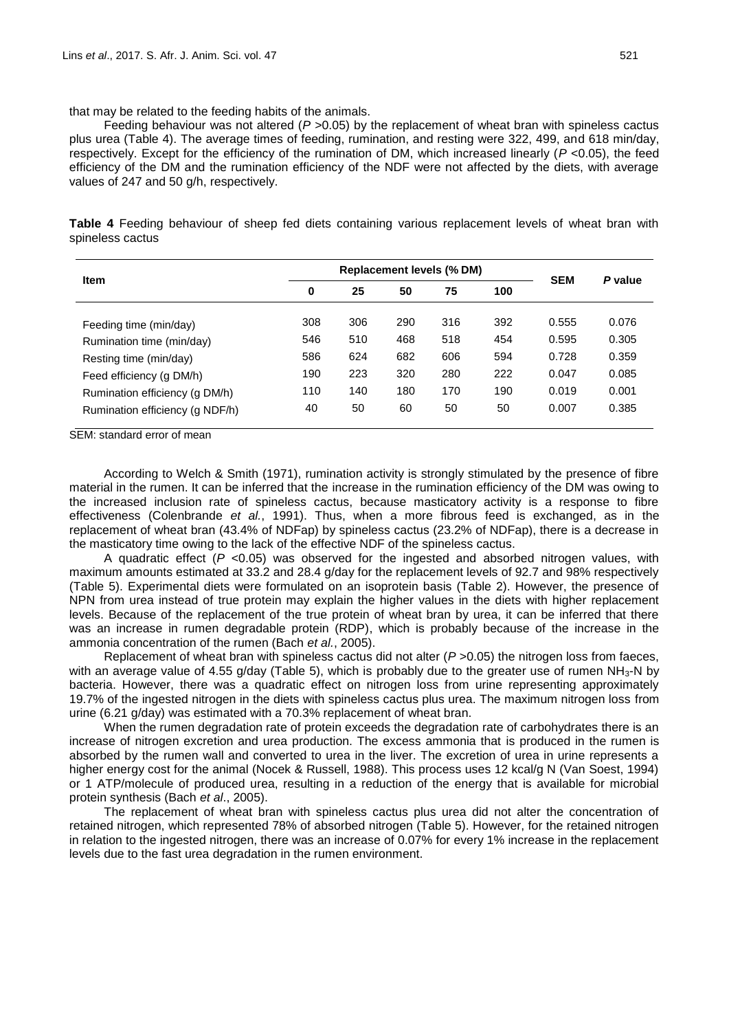that may be related to the feeding habits of the animals.

Feeding behaviour was not altered ( $P > 0.05$ ) by the replacement of wheat bran with spineless cactus plus urea (Table 4). The average times of feeding, rumination, and resting were 322, 499, and 618 min/day, respectively. Except for the efficiency of the rumination of DM, which increased linearly (*P* <0.05), the feed efficiency of the DM and the rumination efficiency of the NDF were not affected by the diets, with average values of 247 and 50 g/h, respectively.

**Table 4** Feeding behaviour of sheep fed diets containing various replacement levels of wheat bran with spineless cactus

| <b>Item</b>                     |     | <b>Replacement levels (% DM)</b> |     |     |     |            |         |
|---------------------------------|-----|----------------------------------|-----|-----|-----|------------|---------|
|                                 | 0   | 25                               | 50  | 75  | 100 | <b>SEM</b> | P value |
| Feeding time (min/day)          | 308 | 306                              | 290 | 316 | 392 | 0.555      | 0.076   |
| Rumination time (min/day)       | 546 | 510                              | 468 | 518 | 454 | 0.595      | 0.305   |
| Resting time (min/day)          | 586 | 624                              | 682 | 606 | 594 | 0.728      | 0.359   |
| Feed efficiency (g DM/h)        | 190 | 223                              | 320 | 280 | 222 | 0.047      | 0.085   |
| Rumination efficiency (q DM/h)  | 110 | 140                              | 180 | 170 | 190 | 0.019      | 0.001   |
| Rumination efficiency (q NDF/h) | 40  | 50                               | 60  | 50  | 50  | 0.007      | 0.385   |

SEM: standard error of mean

According to Welch & Smith (1971), rumination activity is strongly stimulated by the presence of fibre material in the rumen. It can be inferred that the increase in the rumination efficiency of the DM was owing to the increased inclusion rate of spineless cactus, because masticatory activity is a response to fibre effectiveness (Colenbrande *et al.*, 1991). Thus, when a more fibrous feed is exchanged, as in the replacement of wheat bran (43.4% of NDFap) by spineless cactus (23.2% of NDFap), there is a decrease in the masticatory time owing to the lack of the effective NDF of the spineless cactus.

A quadratic effect (*P* <0.05) was observed for the ingested and absorbed nitrogen values, with maximum amounts estimated at 33.2 and 28.4 g/day for the replacement levels of 92.7 and 98% respectively (Table 5). Experimental diets were formulated on an isoprotein basis (Table 2). However, the presence of NPN from urea instead of true protein may explain the higher values in the diets with higher replacement levels. Because of the replacement of the true protein of wheat bran by urea, it can be inferred that there was an increase in rumen degradable protein (RDP), which is probably because of the increase in the ammonia concentration of the rumen (Bach *et al.*, 2005).

Replacement of wheat bran with spineless cactus did not alter  $(P > 0.05)$  the nitrogen loss from faeces, with an average value of 4.55 g/day (Table 5), which is probably due to the greater use of rumen  $NH<sub>3</sub>-N$  by bacteria. However, there was a quadratic effect on nitrogen loss from urine representing approximately 19.7% of the ingested nitrogen in the diets with spineless cactus plus urea. The maximum nitrogen loss from urine (6.21 g/day) was estimated with a 70.3% replacement of wheat bran.

When the rumen degradation rate of protein exceeds the degradation rate of carbohydrates there is an increase of nitrogen excretion and urea production. The excess ammonia that is produced in the rumen is absorbed by the rumen wall and converted to urea in the liver. The excretion of urea in urine represents a higher energy cost for the animal (Nocek & Russell, 1988). This process uses 12 kcal/g N (Van Soest, 1994) or 1 ATP/molecule of produced urea, resulting in a reduction of the energy that is available for microbial protein synthesis (Bach *et al*., 2005).

The replacement of wheat bran with spineless cactus plus urea did not alter the concentration of retained nitrogen, which represented 78% of absorbed nitrogen (Table 5). However, for the retained nitrogen in relation to the ingested nitrogen, there was an increase of 0.07% for every 1% increase in the replacement levels due to the fast urea degradation in the rumen environment.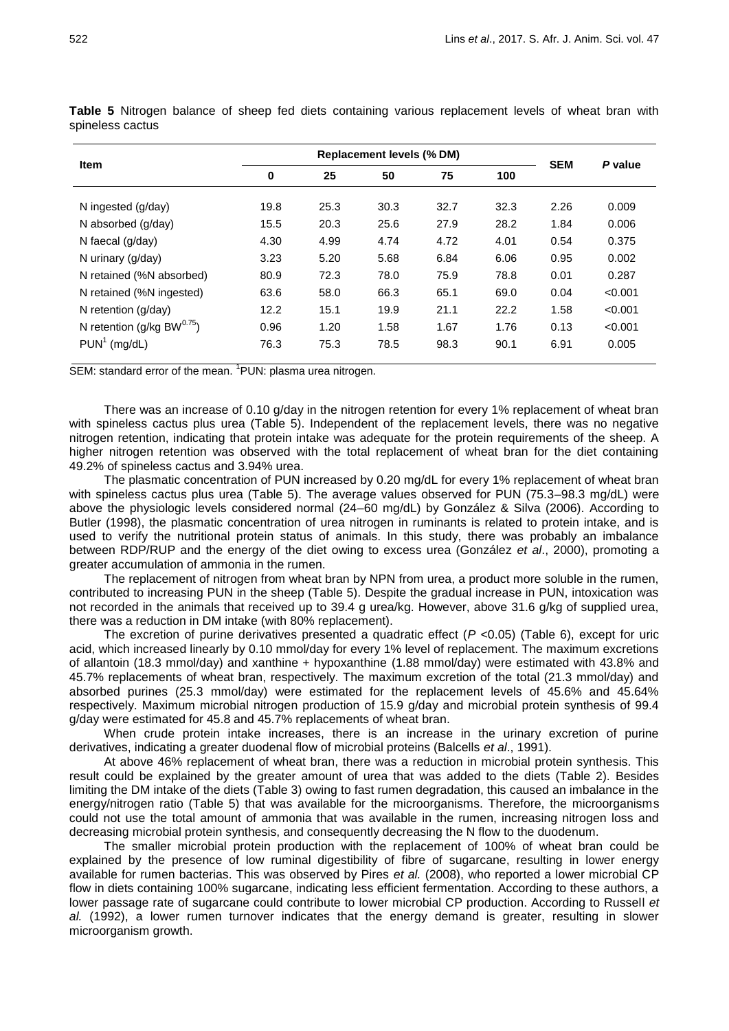| 0    | 25   | 50   | 75   | 100                              |      | P value    |
|------|------|------|------|----------------------------------|------|------------|
| 19.8 | 25.3 | 30.3 | 32.7 | 32.3                             | 2.26 | 0.009      |
| 15.5 | 20.3 | 25.6 | 27.9 | 28.2                             | 1.84 | 0.006      |
| 4.30 | 4.99 | 4.74 | 4.72 | 4.01                             | 0.54 | 0.375      |
| 3.23 | 5.20 | 5.68 | 6.84 | 6.06                             | 0.95 | 0.002      |
| 80.9 | 72.3 | 78.0 | 75.9 | 78.8                             | 0.01 | 0.287      |
| 63.6 | 58.0 | 66.3 | 65.1 | 69.0                             | 0.04 | < 0.001    |
| 12.2 | 15.1 | 19.9 | 21.1 | 22.2                             | 1.58 | < 0.001    |
| 0.96 | 1.20 | 1.58 | 1.67 | 1.76                             | 0.13 | < 0.001    |
| 76.3 | 75.3 | 78.5 | 98.3 | 90.1                             | 6.91 | 0.005      |
|      |      |      |      | <b>Replacement levels (% DM)</b> |      | <b>SEM</b> |

**Table 5** Nitrogen balance of sheep fed diets containing various replacement levels of wheat bran with spineless cactus

SEM: standard error of the mean. <sup>1</sup>PUN: plasma urea nitrogen.

There was an increase of 0.10 g/day in the nitrogen retention for every 1% replacement of wheat bran with spineless cactus plus urea (Table 5). Independent of the replacement levels, there was no negative nitrogen retention, indicating that protein intake was adequate for the protein requirements of the sheep. A higher nitrogen retention was observed with the total replacement of wheat bran for the diet containing 49.2% of spineless cactus and 3.94% urea.

The plasmatic concentration of PUN increased by 0.20 mg/dL for every 1% replacement of wheat bran with spineless cactus plus urea (Table 5). The average values observed for PUN (75.3–98.3 mg/dL) were above the physiologic levels considered normal (24–60 mg/dL) by González & Silva (2006). According to Butler (1998), the plasmatic concentration of urea nitrogen in ruminants is related to protein intake, and is used to verify the nutritional protein status of animals. In this study, there was probably an imbalance between RDP/RUP and the energy of the diet owing to excess urea (González *et al*., 2000), promoting a greater accumulation of ammonia in the rumen.

The replacement of nitrogen from wheat bran by NPN from urea, a product more soluble in the rumen, contributed to increasing PUN in the sheep (Table 5). Despite the gradual increase in PUN, intoxication was not recorded in the animals that received up to 39.4 g urea/kg. However, above 31.6 g/kg of supplied urea, there was a reduction in DM intake (with 80% replacement).

The excretion of purine derivatives presented a quadratic effect  $(P < 0.05)$  (Table 6), except for uric acid, which increased linearly by 0.10 mmol/day for every 1% level of replacement. The maximum excretions of allantoin (18.3 mmol/day) and xanthine + hypoxanthine (1.88 mmol/day) were estimated with 43.8% and 45.7% replacements of wheat bran, respectively. The maximum excretion of the total (21.3 mmol/day) and absorbed purines (25.3 mmol/day) were estimated for the replacement levels of 45.6% and 45.64% respectively. Maximum microbial nitrogen production of 15.9 g/day and microbial protein synthesis of 99.4 g/day were estimated for 45.8 and 45.7% replacements of wheat bran.

When crude protein intake increases, there is an increase in the urinary excretion of purine derivatives, indicating a greater duodenal flow of microbial proteins (Balcells *et al*., 1991).

At above 46% replacement of wheat bran, there was a reduction in microbial protein synthesis. This result could be explained by the greater amount of urea that was added to the diets (Table 2). Besides limiting the DM intake of the diets (Table 3) owing to fast rumen degradation, this caused an imbalance in the energy/nitrogen ratio (Table 5) that was available for the microorganisms. Therefore, the microorganisms could not use the total amount of ammonia that was available in the rumen, increasing nitrogen loss and decreasing microbial protein synthesis, and consequently decreasing the N flow to the duodenum.

The smaller microbial protein production with the replacement of 100% of wheat bran could be explained by the presence of low ruminal digestibility of fibre of sugarcane, resulting in lower energy available for rumen bacterias. This was observed by Pires *et al.* (2008), who reported a lower microbial CP flow in diets containing 100% sugarcane, indicating less efficient fermentation. According to these authors, a lower passage rate of sugarcane could contribute to lower microbial CP production. According to Russell *et al.* (1992), a lower rumen turnover indicates that the energy demand is greater, resulting in slower microorganism growth.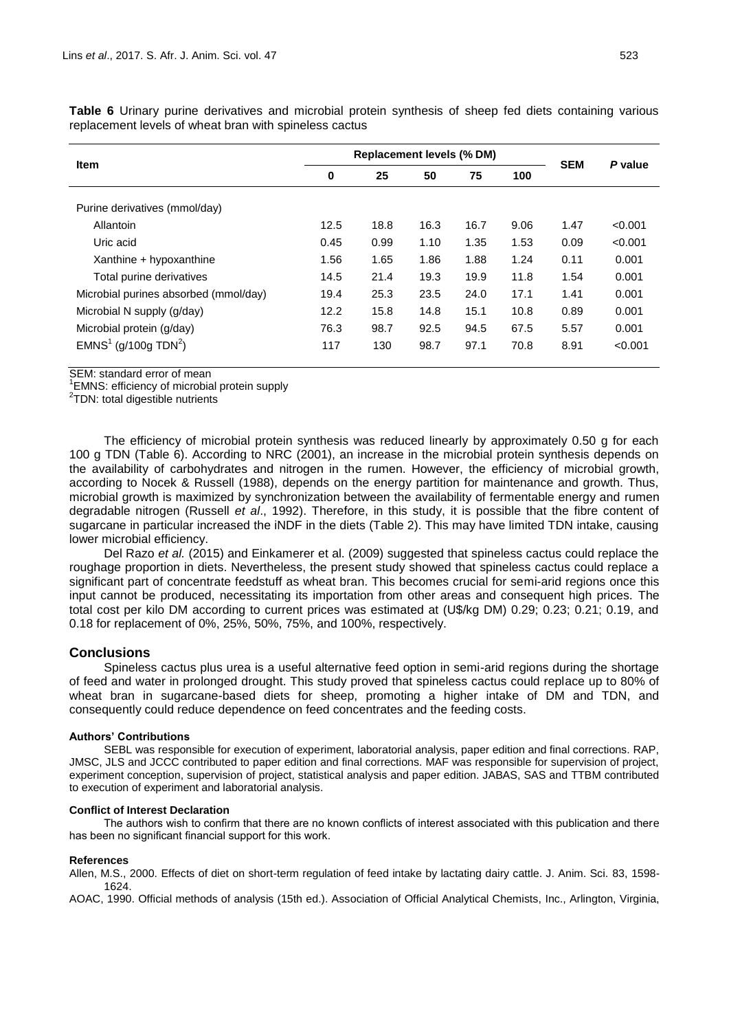| <b>Item</b>                           | <b>Replacement levels (% DM)</b> |      |      |      |      |            |         |
|---------------------------------------|----------------------------------|------|------|------|------|------------|---------|
|                                       | 0                                | 25   | 50   | 75   | 100  | <b>SEM</b> | P value |
| Purine derivatives (mmol/day)         |                                  |      |      |      |      |            |         |
| Allantoin                             | 12.5                             | 18.8 | 16.3 | 16.7 | 9.06 | 1.47       | < 0.001 |
| Uric acid                             | 0.45                             | 0.99 | 1.10 | 1.35 | 1.53 | 0.09       | < 0.001 |
| Xanthine + hypoxanthine               | 1.56                             | 1.65 | 1.86 | 1.88 | 1.24 | 0.11       | 0.001   |
| Total purine derivatives              | 14.5                             | 21.4 | 19.3 | 19.9 | 11.8 | 1.54       | 0.001   |
| Microbial purines absorbed (mmol/day) | 19.4                             | 25.3 | 23.5 | 24.0 | 17.1 | 1.41       | 0.001   |
| Microbial N supply (g/day)            | 12.2                             | 15.8 | 14.8 | 15.1 | 10.8 | 0.89       | 0.001   |

Microbial protein (g/day) 76.3 98.7 92.5 94.5 67.5 5.57 0.001

) 117 130 98.7 97.1 70.8 8.91 <0.001

**Table 6** Urinary purine derivatives and microbial protein synthesis of sheep fed diets containing various replacement levels of wheat bran with spineless cactus

SEM: standard error of mean

 $\mathsf{EMNS}^1$  (g/100g TDN $^2$ 

<sup>1</sup>EMNS: efficiency of microbial protein supply

<sup>2</sup>TDN: total digestible nutrients

The efficiency of microbial protein synthesis was reduced linearly by approximately 0.50 g for each 100 g TDN (Table 6). According to NRC (2001), an increase in the microbial protein synthesis depends on the availability of carbohydrates and nitrogen in the rumen. However, the efficiency of microbial growth, according to Nocek & Russell (1988), depends on the energy partition for maintenance and growth. Thus, microbial growth is maximized by synchronization between the availability of fermentable energy and rumen degradable nitrogen (Russell *et al*., 1992). Therefore, in this study, it is possible that the fibre content of sugarcane in particular increased the iNDF in the diets (Table 2). This may have limited TDN intake, causing lower microbial efficiency.

Del Razo *et al.* (2015) and Einkamerer et al. (2009) suggested that spineless cactus could replace the roughage proportion in diets. Nevertheless, the present study showed that spineless cactus could replace a significant part of concentrate feedstuff as wheat bran. This becomes crucial for semi-arid regions once this input cannot be produced, necessitating its importation from other areas and consequent high prices. The total cost per kilo DM according to current prices was estimated at (U\$/kg DM) 0.29; 0.23; 0.21; 0.19, and 0.18 for replacement of 0%, 25%, 50%, 75%, and 100%, respectively.

# **Conclusions**

Spineless cactus plus urea is a useful alternative feed option in semi-arid regions during the shortage of feed and water in prolonged drought. This study proved that spineless cactus could replace up to 80% of wheat bran in sugarcane-based diets for sheep, promoting a higher intake of DM and TDN, and consequently could reduce dependence on feed concentrates and the feeding costs.

### **Authors' Contributions**

SEBL was responsible for execution of experiment, laboratorial analysis, paper edition and final corrections. RAP, JMSC, JLS and JCCC contributed to paper edition and final corrections. MAF was responsible for supervision of project, experiment conception, supervision of project, statistical analysis and paper edition. JABAS, SAS and TTBM contributed to execution of experiment and laboratorial analysis.

### **Conflict of Interest Declaration**

The authors wish to confirm that there are no known conflicts of interest associated with this publication and there has been no significant financial support for this work.

### **References**

Allen, M.S., 2000. Effects of diet on short-term regulation of feed intake by lactating dairy cattle. J. Anim. Sci. 83, 1598- 1624.

AOAC, 1990. Official methods of analysis (15th ed.). Association of Official Analytical Chemists, Inc., Arlington, Virginia,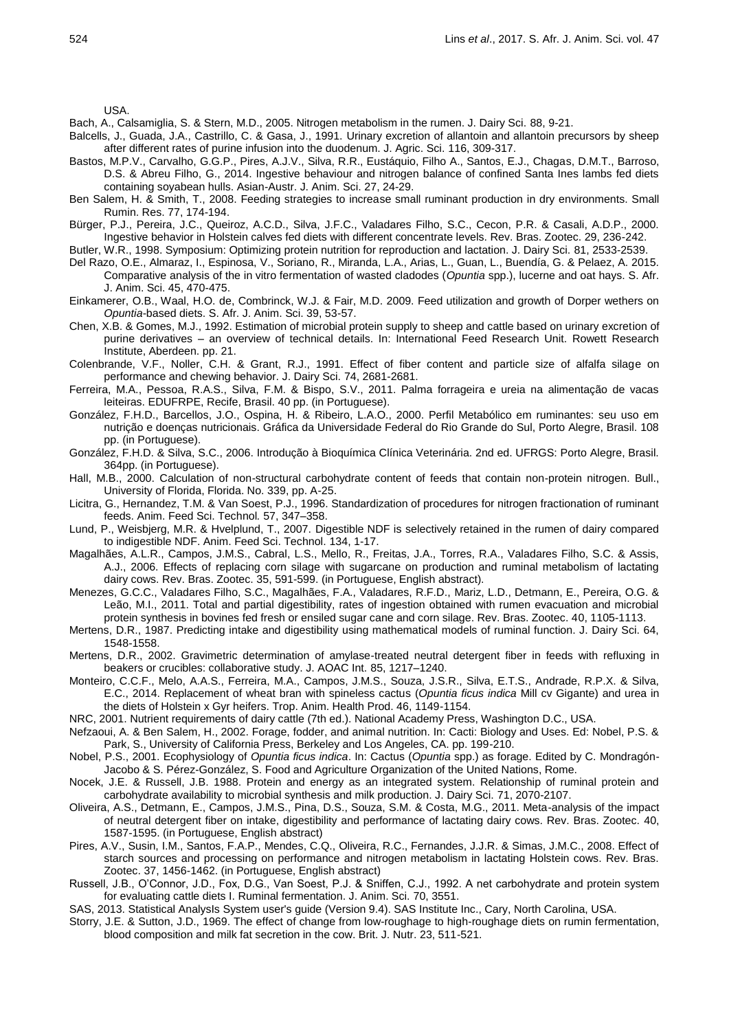USA.

Bach, A., Calsamiglia, S. & Stern, M.D., 2005. Nitrogen metabolism in the rumen. J. Dairy Sci. 88, 9-21.

- Balcells, J., Guada, J.A., Castrillo, C. & Gasa, J., 1991. Urinary excretion of allantoin and allantoin precursors by sheep after different rates of purine infusion into the duodenum. J. Agric. Sci. 116, 309-317.
- Bastos, M.P.V., Carvalho, G.G.P., Pires, A.J.V., Silva, R.R., Eustáquio, Filho A., Santos, E.J., Chagas, D.M.T., Barroso, D.S. & Abreu Filho, G., 2014. Ingestive behaviour and nitrogen balance of confined Santa Ines lambs fed diets containing soyabean hulls. Asian-Austr. J. Anim. Sci. 27, 24-29.
- Ben Salem, H. & Smith, T., 2008. Feeding strategies to increase small ruminant production in dry environments. Small Rumin. Res. 77, 174-194.
- Bürger, P.J., Pereira, J.C., Queiroz, A.C.D., Silva, J.F.C., Valadares Filho, S.C., Cecon, P.R. & Casali, A.D.P., 2000. Ingestive behavior in Holstein calves fed diets with different concentrate levels. Rev. Bras. Zootec. 29, 236-242.
- Butler, W.R., 1998. Symposium: Optimizing protein nutrition for reproduction and lactation. J. Dairy Sci. 81, 2533-2539.
- Del Razo, O.E., Almaraz, I., Espinosa, V., Soriano, R., Miranda, L.A., Arias, L., Guan, L., Buendía, G. & Pelaez, A. 2015. Comparative analysis of the in vitro fermentation of wasted cladodes (*Opuntia* spp.), lucerne and oat hays. S. Afr. J. Anim. Sci. 45, 470-475.
- Einkamerer, O.B., Waal, H.O. de, Combrinck, W.J. & Fair, M.D. 2009. Feed utilization and growth of Dorper wethers on *Opuntia*-based diets. S. Afr. J. Anim. Sci. 39, 53-57.
- Chen, X.B. & Gomes, M.J., 1992. Estimation of microbial protein supply to sheep and cattle based on urinary excretion of purine derivatives – an overview of technical details. In: International Feed Research Unit. Rowett Research Institute, Aberdeen. pp. 21.

Colenbrande, V.F., Noller, C.H. & Grant, R.J., 1991. Effect of fiber content and particle size of alfalfa silage on performance and chewing behavior. J. Dairy Sci. 74, 2681-2681.

- Ferreira, M.A., Pessoa, R.A.S., Silva, F.M. & Bispo, S.V., 2011. Palma forrageira e ureia na alimentação de vacas leiteiras. EDUFRPE, Recife, Brasil. 40 pp. (in Portuguese).
- González, F.H.D., Barcellos, J.O., Ospina, H. & Ribeiro, L.A.O., 2000. Perfil Metabólico em ruminantes: seu uso em nutrição e doenças nutricionais. Gráfica da Universidade Federal do Rio Grande do Sul, Porto Alegre, Brasil. 108 pp. (in Portuguese).
- González, F.H.D. & Silva, S.C., 2006. Introdução à Bioquímica Clínica Veterinária. 2nd ed. UFRGS: Porto Alegre, Brasil. 364pp. (in Portuguese).
- Hall, M.B., 2000. Calculation of non-structural carbohydrate content of feeds that contain non-protein nitrogen. Bull., University of Florida, Florida. No. 339, pp. A-25.
- Licitra, G., Hernandez, T.M. & Van Soest, P.J., 1996. Standardization of procedures for nitrogen fractionation of ruminant feeds. Anim. Feed Sci. Technol*.* 57, 347–358.
- Lund, P., Weisbjerg, M.R. & Hvelplund, T., 2007. Digestible NDF is selectively retained in the rumen of dairy compared to indigestible NDF. Anim. Feed Sci. Technol. 134, 1-17.
- Magalhães, A.L.R., Campos, J.M.S., Cabral, L.S., Mello, R., Freitas, J.A., Torres, R.A., Valadares Filho, S.C. & Assis, A.J., 2006. Effects of replacing corn silage with sugarcane on production and ruminal metabolism of lactating dairy cows. Rev. Bras. Zootec. 35, 591-599. (in Portuguese, English abstract).
- Menezes, G.C.C., Valadares Filho, S.C., Magalhães, F.A., Valadares, R.F.D., Mariz, L.D., Detmann, E., Pereira, O.G. & Leão, M.I., 2011. Total and partial digestibility, rates of ingestion obtained with rumen evacuation and microbial protein synthesis in bovines fed fresh or ensiled sugar cane and corn silage. Rev. Bras. Zootec. 40, 1105-1113.
- Mertens, D.R., 1987. Predicting intake and digestibility using mathematical models of ruminal function. J. Dairy Sci. 64, 1548-1558.
- Mertens, D.R., 2002. Gravimetric determination of amylase-treated neutral detergent fiber in feeds with refluxing in beakers or crucibles: collaborative study. J. AOAC Int. 85, 1217–1240.
- Monteiro, C.C.F., Melo, A.A.S., Ferreira, M.A., Campos, J.M.S., Souza, J.S.R., Silva, E.T.S., Andrade, R.P.X. & Silva, E.C., 2014. Replacement of wheat bran with spineless cactus (*Opuntia ficus indica* Mill cv Gigante) and urea in the diets of Holstein x Gyr heifers. Trop. Anim. Health Prod. 46, 1149-1154.
- NRC, 2001. Nutrient requirements of dairy cattle (7th ed.). National Academy Press, Washington D.C., USA.
- Nefzaoui, A. & Ben Salem, H., 2002. Forage, fodder, and animal nutrition. In: Cacti: Biology and Uses. Ed: Nobel, P.S. & Park, S., University of California Press, Berkeley and Los Angeles, CA. pp. 199-210.
- Nobel, P.S., 2001. Ecophysiology of *Opuntia ficus indica*. In: Cactus (*Opuntia* spp.) as forage. Edited by C. Mondragón-Jacobo & S. Pérez-González, S. Food and Agriculture Organization of the United Nations, Rome.
- Nocek, J.E. & Russell, J.B. 1988. Protein and energy as an integrated system. Relationship of ruminal protein and carbohydrate availability to microbial synthesis and milk production. J. Dairy Sci. 71, 2070-2107.
- Oliveira, A.S., Detmann, E., Campos, J.M.S., Pina, D.S., Souza, S.M. & Costa, M.G., 2011. Meta-analysis of the impact of neutral detergent fiber on intake, digestibility and performance of lactating dairy cows. Rev. Bras. Zootec. 40, 1587-1595. (in Portuguese, English abstract)
- Pires, A.V., Susin, I.M., Santos, F.A.P., Mendes, C.Q., Oliveira, R.C., Fernandes, J.J.R. & Simas, J.M.C., 2008. Effect of starch sources and processing on performance and nitrogen metabolism in lactating Holstein cows. Rev. Bras. Zootec. 37, 1456-1462. (in Portuguese, English abstract)
- Russell, J.B., O'Connor, J.D., Fox, D.G., Van Soest, P.J. & Sniffen, C.J., 1992. A net carbohydrate and protein system for evaluating cattle diets I. Ruminal fermentation. J. Anim. Sci. 70, 3551.
- SAS, 2013. Statistical AnalysIs System user's guide (Version 9.4). SAS Institute Inc., Cary, North Carolina, USA.
- Storry, J.E. & Sutton, J.D., 1969. The effect of change from low-roughage to high-roughage diets on rumin fermentation, blood composition and milk fat secretion in the cow. Brit. J. Nutr. 23, 511-521.